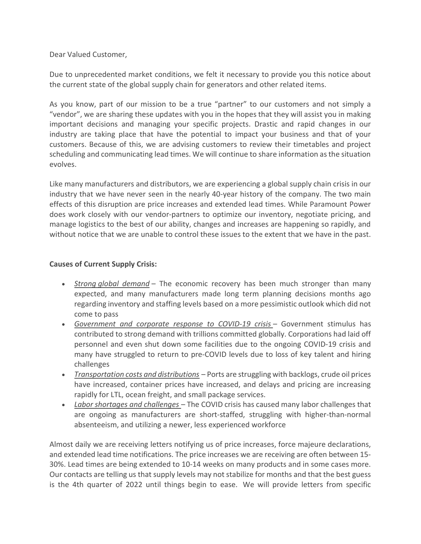Dear Valued Customer,

Due to unprecedented market conditions, we felt it necessary to provide you this notice about the current state of the global supply chain for generators and other related items.

As you know, part of our mission to be a true "partner" to our customers and not simply a "vendor", we are sharing these updates with you in the hopes that they will assist you in making important decisions and managing your specific projects. Drastic and rapid changes in our industry are taking place that have the potential to impact your business and that of your customers. Because of this, we are advising customers to review their timetables and project scheduling and communicating lead times. We will continue to share information as the situation evolves.

Like many manufacturers and distributors, we are experiencing a global supply chain crisis in our industry that we have never seen in the nearly 40-year history of the company. The two main effects of this disruption are price increases and extended lead times. While Paramount Power does work closely with our vendor-partners to optimize our inventory, negotiate pricing, and manage logistics to the best of our ability, changes and increases are happening so rapidly, and without notice that we are unable to control these issues to the extent that we have in the past.

## Causes of Current Supply Crisis:

- Strong global demand The economic recovery has been much stronger than many expected, and many manufacturers made long term planning decisions months ago regarding inventory and staffing levels based on a more pessimistic outlook which did not come to pass
- Government and corporate response to COVID-19 crisis Government stimulus has contributed to strong demand with trillions committed globally. Corporations had laid off personnel and even shut down some facilities due to the ongoing COVID-19 crisis and many have struggled to return to pre-COVID levels due to loss of key talent and hiring challenges
- $\bullet$  Transportation costs and distributions  $-$  Ports are struggling with backlogs, crude oil prices have increased, container prices have increased, and delays and pricing are increasing rapidly for LTL, ocean freight, and small package services.
- Labor shortages and challenges The COVID crisis has caused many labor challenges that are ongoing as manufacturers are short-staffed, struggling with higher-than-normal absenteeism, and utilizing a newer, less experienced workforce

Almost daily we are receiving letters notifying us of price increases, force majeure declarations, and extended lead time notifications. The price increases we are receiving are often between 15- 30%. Lead times are being extended to 10-14 weeks on many products and in some cases more. Our contacts are telling us that supply levels may not stabilize for months and that the best guess is the 4th quarter of 2022 until things begin to ease. We will provide letters from specific